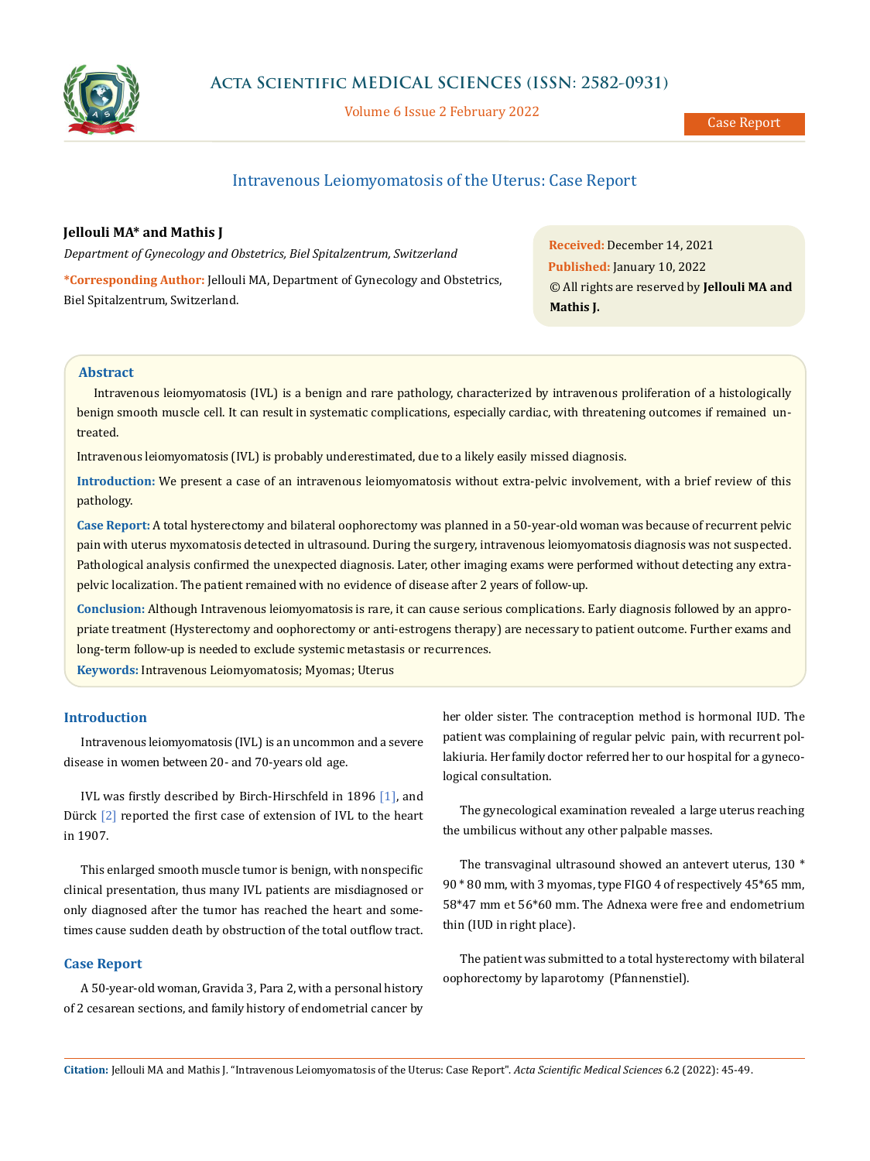

Volume 6 Issue 2 February 2022

# Intravenous Leiomyomatosis of the Uterus: Case Report

### **Jellouli MA\* and Mathis J**

*Department of Gynecology and Obstetrics, Biel Spitalzentrum, Switzerland*

**\*Corresponding Author:** Jellouli MA, Department of Gynecology and Obstetrics, Biel Spitalzentrum, Switzerland.

**Received:** December 14, 2021 **Published:** January 10, 2022 © All rights are reserved by **Jellouli MA and Mathis J.**

## **Abstract**

Intravenous leiomyomatosis (IVL) is a benign and rare pathology, characterized by intravenous proliferation of a histologically benign smooth muscle cell. It can result in systematic complications, especially cardiac, with threatening outcomes if remained untreated.

Intravenous leiomyomatosis (IVL) is probably underestimated, due to a likely easily missed diagnosis.

**Introduction:** We present a case of an intravenous leiomyomatosis without extra-pelvic involvement, with a brief review of this pathology.

**Case Report:** A total hysterectomy and bilateral oophorectomy was planned in a 50-year-old woman was because of recurrent pelvic pain with uterus myxomatosis detected in ultrasound. During the surgery, intravenous leiomyomatosis diagnosis was not suspected. Pathological analysis confirmed the unexpected diagnosis. Later, other imaging exams were performed without detecting any extrapelvic localization. The patient remained with no evidence of disease after 2 years of follow-up.

**Conclusion:** Although Intravenous leiomyomatosis is rare, it can cause serious complications. Early diagnosis followed by an appropriate treatment (Hysterectomy and oophorectomy or anti-estrogens therapy) are necessary to patient outcome. Further exams and long-term follow-up is needed to exclude systemic metastasis or recurrences.

**Keywords:** Intravenous Leiomyomatosis; Myomas; Uterus

## **Introduction**

Intravenous leiomyomatosis (IVL) is an uncommon and a severe disease in women between 20- and 70-years old age.

IVL was firstly described by Birch-Hirschfeld in 1896 [1], and Dürck [2] reported the first case of extension of IVL to the heart in 1907.

This enlarged smooth muscle tumor is benign, with nonspecific clinical presentation, thus many IVL patients are misdiagnosed or only diagnosed after the tumor has reached the heart and sometimes cause sudden death by obstruction of the total outflow tract.

#### **Case Report**

A 50-year-old woman, Gravida 3, Para 2, with a personal history of 2 cesarean sections, and family history of endometrial cancer by her older sister. The contraception method is hormonal IUD. The patient was complaining of regular pelvic pain, with recurrent pollakiuria. Her family doctor referred her to our hospital for a gynecological consultation.

The gynecological examination revealed a large uterus reaching the umbilicus without any other palpable masses.

The transvaginal ultrasound showed an antevert uterus, 130 \* 90 \* 80 mm, with 3 myomas, type FIGO 4 of respectively 45\*65 mm, 58\*47 mm et 56\*60 mm. The Adnexa were free and endometrium thin (IUD in right place).

The patient was submitted to a total hysterectomy with bilateral oophorectomy by laparotomy (Pfannenstiel).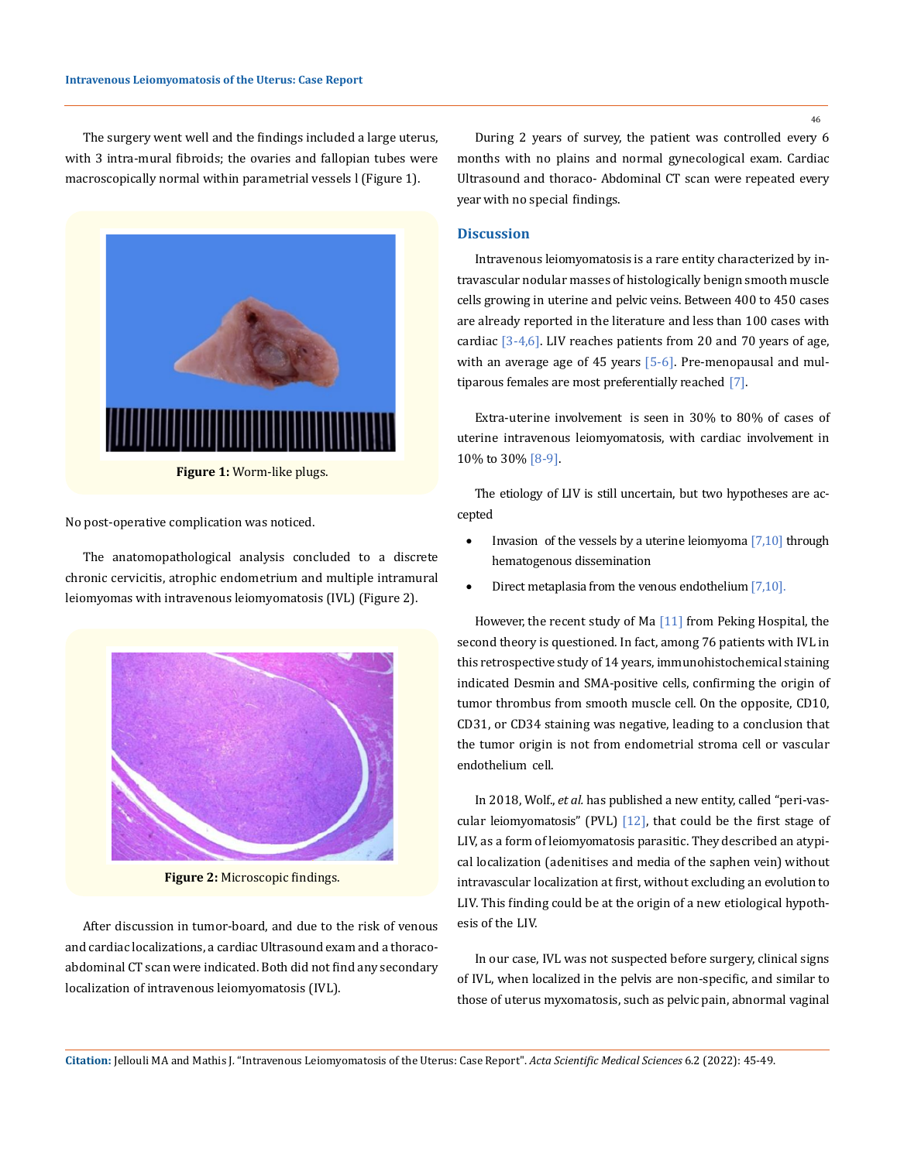The surgery went well and the findings included a large uterus, with 3 intra-mural fibroids; the ovaries and fallopian tubes were macroscopically normal within parametrial vessels l (Figure 1).



**Figure 1:** Worm-like plugs.

No post-operative complication was noticed.

The anatomopathological analysis concluded to a discrete chronic cervicitis, atrophic endometrium and multiple intramural leiomyomas with intravenous leiomyomatosis (IVL) (Figure 2).



**Figure 2:** Microscopic findings.

After discussion in tumor-board, and due to the risk of venous and cardiac localizations, a cardiac Ultrasound exam and a thoracoabdominal CT scan were indicated. Both did not find any secondary localization of intravenous leiomyomatosis (IVL).

During 2 years of survey, the patient was controlled every 6 months with no plains and normal gynecological exam. Cardiac Ultrasound and thoraco- Abdominal CT scan were repeated every year with no special findings.

### **Discussion**

Intravenous leiomyomatosis is a rare entity characterized by intravascular nodular masses of histologically benign smooth muscle cells growing in uterine and pelvic veins. Between 400 to 450 cases are already reported in the literature and less than 100 cases with cardiac [3-4,6]. LIV reaches patients from 20 and 70 years of age, with an average age of 45 years  $[5-6]$ . Pre-menopausal and multiparous females are most preferentially reached [7].

Extra-uterine involvement is seen in 30% to 80% of cases of uterine intravenous leiomyomatosis, with cardiac involvement in 10% to 30% [8-9].

The etiology of LIV is still uncertain, but two hypotheses are accepted

- Invasion of the vessels by a uterine leiomyoma  $[7,10]$  through hematogenous dissemination
- Direct metaplasia from the venous endothelium  $[7,10]$ .

However, the recent study of Ma [11] from Peking Hospital, the second theory is questioned. In fact, among 76 patients with IVL in this retrospective study of 14 years, immunohistochemical staining indicated Desmin and SMA-positive cells, confirming the origin of tumor thrombus from smooth muscle cell. On the opposite, CD10, CD31, or CD34 staining was negative, leading to a conclusion that the tumor origin is not from endometrial stroma cell or vascular endothelium cell.

In 2018, Wolf., *et al.* has published a new entity, called "peri-vascular leiomyomatosis" (PVL) [12], that could be the first stage of LIV, as a form of leiomyomatosis parasitic. They described an atypical localization (adenitises and media of the saphen vein) without intravascular localization at first, without excluding an evolution to LIV. This finding could be at the origin of a new etiological hypothesis of the LIV.

In our case, IVL was not suspected before surgery, clinical signs of IVL, when localized in the pelvis are non-specific, and similar to those of uterus myxomatosis, such as pelvic pain, abnormal vaginal

**Citation:** Jellouli MA and Mathis J*.* "Intravenous Leiomyomatosis of the Uterus: Case Report". *Acta Scientific Medical Sciences* 6.2 (2022): 45-49.

46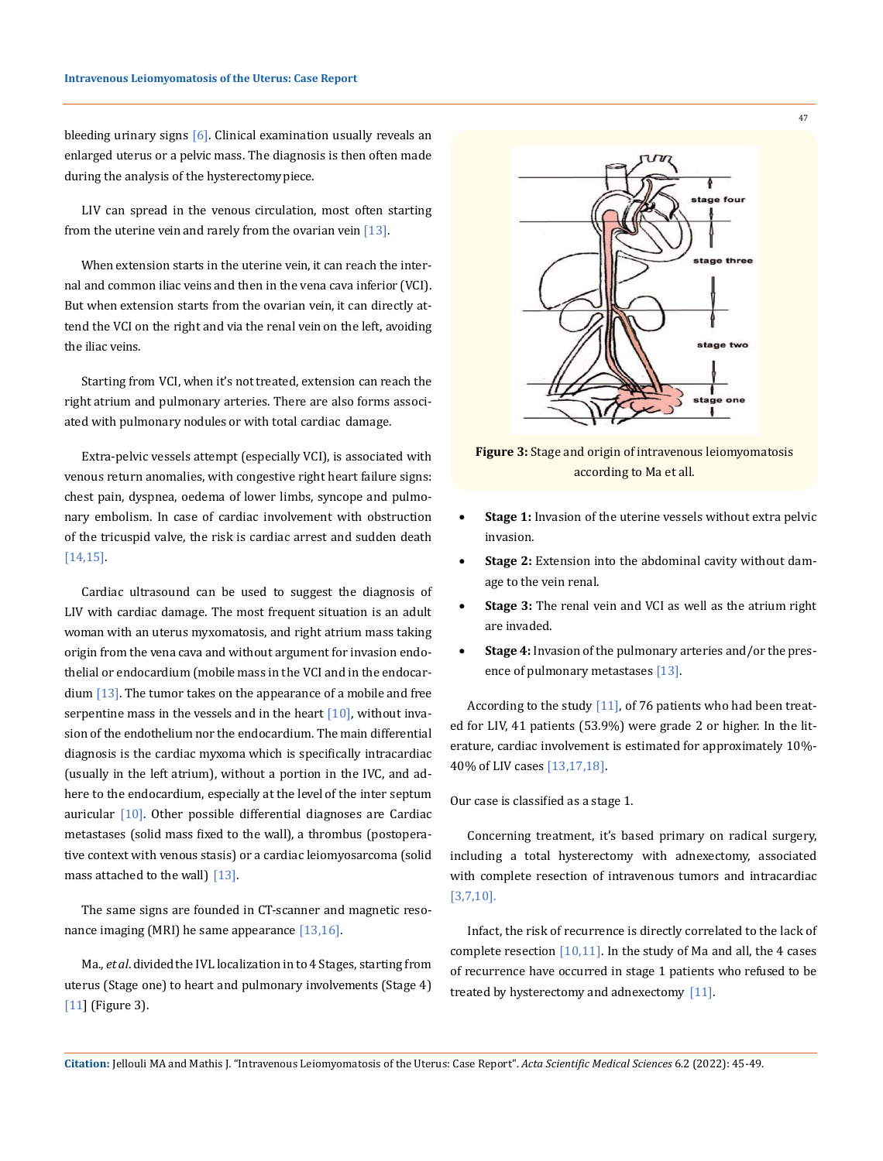bleeding urinary signs  $[6]$ . Clinical examination usually reveals an enlarged uterus or a pelvic mass. The diagnosis is then often made during the analysis of the hysterectomy piece.

LIV can spread in the venous circulation, most often starting from the uterine vein and rarely from the ovarian vein  $[13]$ .

When extension starts in the uterine vein, it can reach the internal and common iliac veins and then in the vena cava inferior (VCI). But when extension starts from the ovarian vein, it can directly attend the VCI on the right and via the renal vein on the left, avoiding the iliac veins.

Starting from VCI, when it's not treated, extension can reach the right atrium and pulmonary arteries. There are also forms associated with pulmonary nodules or with total cardiac damage.

Extra-pelvic vessels attempt (especially VCI), is associated with venous return anomalies, with congestive right heart failure signs: chest pain, dyspnea, oedema of lower limbs, syncope and pulmonary embolism. In case of cardiac involvement with obstruction of the tricuspid valve, the risk is cardiac arrest and sudden death [14,15].

Cardiac ultrasound can be used to suggest the diagnosis of LIV with cardiac damage. The most frequent situation is an adult woman with an uterus myxomatosis, and right atrium mass taking origin from the vena cava and without argument for invasion endothelial or endocardium (mobile mass in the VCI and in the endocar- $\dim$  [13]. The tumor takes on the appearance of a mobile and free serpentine mass in the vessels and in the heart  $[10]$ , without invasion of the endothelium nor the endocardium. The main differential diagnosis is the cardiac myxoma which is specifically intracardiac (usually in the left atrium), without a portion in the IVC, and adhere to the endocardium, especially at the level of the inter septum auricular [10]. Other possible differential diagnoses are Cardiac metastases (solid mass fixed to the wall), a thrombus (postoperative context with venous stasis) or a cardiac leiomyosarcoma (solid mass attached to the wall) [13].

The same signs are founded in CT-scanner and magnetic resonance imaging (MRI) he same appearance [13,16].

Ma., *et al*. divided the IVL localization in to 4 Stages, starting from uterus (Stage one) to heart and pulmonary involvements (Stage 4) [11] (Figure 3).



**Figure 3:** Stage and origin of intravenous leiomyomatosis according to Ma et all.

- Stage 1: Invasion of the uterine vessels without extra pelvic invasion.
- **Stage 2:** Extension into the abdominal cavity without damage to the vein renal.
- **Stage 3:** The renal vein and VCI as well as the atrium right are invaded.
- **Stage 4:** Invasion of the pulmonary arteries and/or the presence of pulmonary metastases [13].

According to the study [11], of 76 patients who had been treated for LIV, 41 patients (53.9%) were grade 2 or higher. In the literature, cardiac involvement is estimated for approximately 10%- 40% of LIV cases [13,17,18].

Our case is classified as a stage 1.

Concerning treatment, it's based primary on radical surgery, including a total hysterectomy with adnexectomy, associated with complete resection of intravenous tumors and intracardiac [3,7,10].

Infact, the risk of recurrence is directly correlated to the lack of complete resection  $[10,11]$ . In the study of Ma and all, the 4 cases of recurrence have occurred in stage 1 patients who refused to be treated by hysterectomy and adnexectomy [11].

**Citation:** Jellouli MA and Mathis J*.* "Intravenous Leiomyomatosis of the Uterus: Case Report". *Acta Scientific Medical Sciences* 6.2 (2022): 45-49.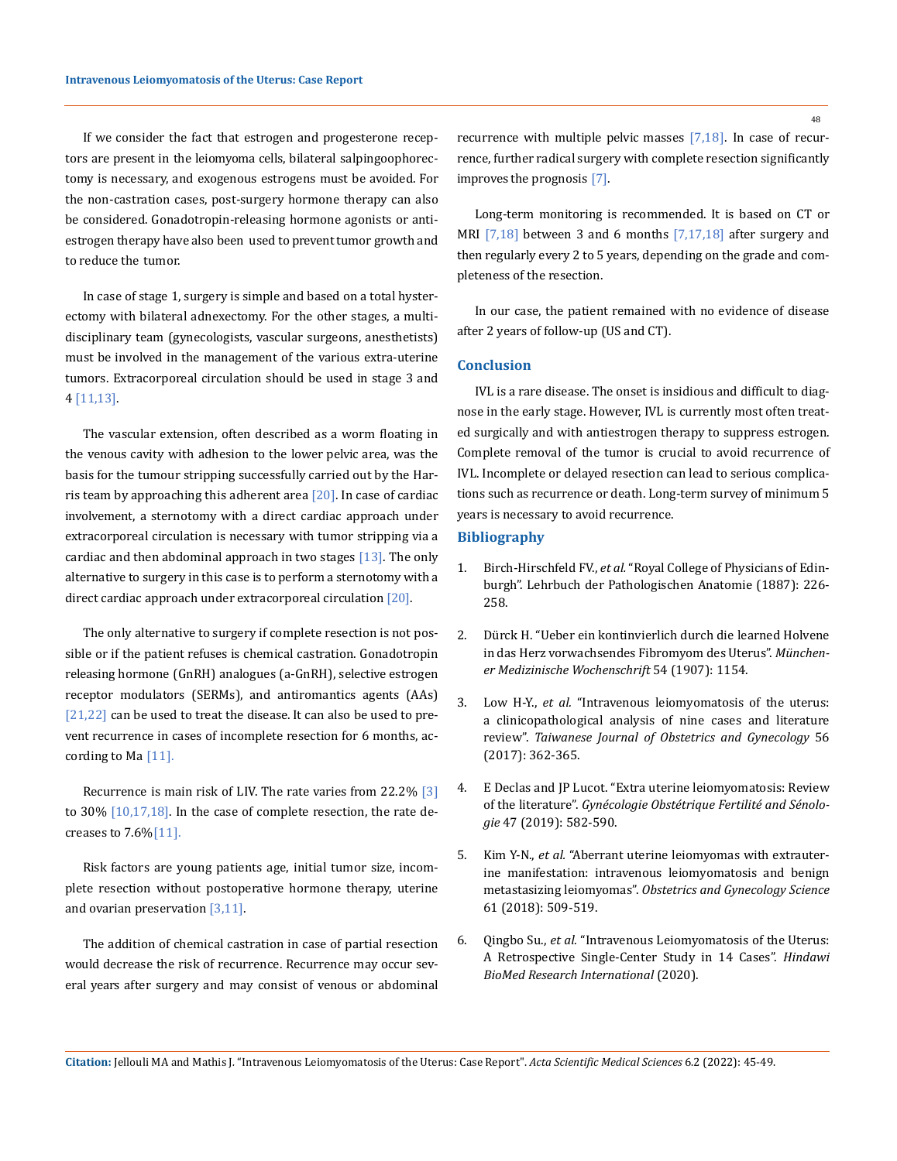If we consider the fact that estrogen and progesterone receptors are present in the leiomyoma cells, bilateral salpingoophorectomy is necessary, and exogenous estrogens must be avoided. For the non-castration cases, post-surgery hormone therapy can also be considered. Gonadotropin-releasing hormone agonists or antiestrogen therapy have also been used to prevent tumor growth and to reduce the tumor.

In case of stage 1, surgery is simple and based on a total hysterectomy with bilateral adnexectomy. For the other stages, a multidisciplinary team (gynecologists, vascular surgeons, anesthetists) must be involved in the management of the various extra-uterine tumors. Extracorporeal circulation should be used in stage 3 and 4 [11,13].

The vascular extension, often described as a worm floating in the venous cavity with adhesion to the lower pelvic area, was the basis for the tumour stripping successfully carried out by the Harris team by approaching this adherent area  $[20]$ . In case of cardiac involvement, a sternotomy with a direct cardiac approach under extracorporeal circulation is necessary with tumor stripping via a cardiac and then abdominal approach in two stages  $[13]$ . The only alternative to surgery in this case is to perform a sternotomy with a direct cardiac approach under extracorporeal circulation [20].

The only alternative to surgery if complete resection is not possible or if the patient refuses is chemical castration. Gonadotropin releasing hormone (GnRH) analogues (a-GnRH), selective estrogen receptor modulators (SERMs), and antiromantics agents (AAs) [21,22] can be used to treat the disease. It can also be used to prevent recurrence in cases of incomplete resection for 6 months, according to Ma [11].

Recurrence is main risk of LIV. The rate varies from 22.2% [3] to  $30\%$   $[10,17,18]$ . In the case of complete resection, the rate decreases to  $7.6\sqrt{11}$ .

Risk factors are young patients age, initial tumor size, incomplete resection without postoperative hormone therapy, uterine and ovarian preservation [3,11].

The addition of chemical castration in case of partial resection would decrease the risk of recurrence. Recurrence may occur several years after surgery and may consist of venous or abdominal recurrence with multiple pelvic masses [7,18]. In case of recurrence, further radical surgery with complete resection significantly improves the prognosis [7].

Long-term monitoring is recommended. It is based on CT or MRI [7,18] between 3 and 6 months [7,17,18] after surgery and then regularly every 2 to 5 years, depending on the grade and completeness of the resection.

In our case, the patient remained with no evidence of disease after 2 years of follow-up (US and CT).

#### **Conclusion**

IVL is a rare disease. The onset is insidious and difficult to diagnose in the early stage. However, IVL is currently most often treated surgically and with antiestrogen therapy to suppress estrogen. Complete removal of the tumor is crucial to avoid recurrence of IVL. Incomplete or delayed resection can lead to serious complications such as recurrence or death. Long-term survey of minimum 5 years is necessary to avoid recurrence.

#### **Bibliography**

- 1. Birch-Hirschfeld FV., *et al.* ["Royal College of Physicians of Edin](https://www.rcpe.ac.uk/)[burgh". Lehrbuch der Pathologischen Anatomie \(1887\): 226-](https://www.rcpe.ac.uk/) [258.](https://www.rcpe.ac.uk/)
- 2. Dürck H. "Ueber ein kontinvierlich durch die learned Holvene in das Herz vorwachsendes Fibromyom des Uterus". *Münchener Medizinische Wochenschrift* 54 (1907): 1154.
- 3. Low H-Y., *et al.* ["Intravenous leiomyomatosis of the uterus:](https://www.semanticscholar.org/paper/Intravenous-leiomyomatosis-of-the-uterus%3A-A-of-nine-Low-Zhao/aa4dfdc499402e3c3b0be1482ce5a0d18b417914)  [a clinicopathological analysis of nine cases and literature](https://www.semanticscholar.org/paper/Intravenous-leiomyomatosis-of-the-uterus%3A-A-of-nine-Low-Zhao/aa4dfdc499402e3c3b0be1482ce5a0d18b417914)  review". *[Taiwanese Journal of Obstetrics and Gynecology](https://www.semanticscholar.org/paper/Intravenous-leiomyomatosis-of-the-uterus%3A-A-of-nine-Low-Zhao/aa4dfdc499402e3c3b0be1482ce5a0d18b417914)* 56 [\(2017\): 362-365.](https://www.semanticscholar.org/paper/Intravenous-leiomyomatosis-of-the-uterus%3A-A-of-nine-Low-Zhao/aa4dfdc499402e3c3b0be1482ce5a0d18b417914)
- 4. [E Declas and JP Lucot. "Extra uterine leiomyomatosis: Review](https://pubmed.ncbi.nlm.nih.gov/31255836/)  of the literature". *[Gynécologie Obstétrique Fertilité and Sénolo](https://pubmed.ncbi.nlm.nih.gov/31255836/)gie* [47 \(2019\): 582-590.](https://pubmed.ncbi.nlm.nih.gov/31255836/)
- 5. Kim Y-N., *et al.* ["Aberrant uterine leiomyomas with extrauter](https://www.ncbi.nlm.nih.gov/pmc/articles/PMC6046354/)[ine manifestation: intravenous leiomyomatosis and benign](https://www.ncbi.nlm.nih.gov/pmc/articles/PMC6046354/)  metastasizing leiomyomas". *[Obstetrics and Gynecology Science](https://www.ncbi.nlm.nih.gov/pmc/articles/PMC6046354/)*  [61 \(2018\): 509-519.](https://www.ncbi.nlm.nih.gov/pmc/articles/PMC6046354/)
- 6. Qingbo Su., *et al.* ["Intravenous Leiomyomatosis of the Uterus:](https://pubmed.ncbi.nlm.nih.gov/32337287/)  [A Retrospective Single-Center Study in 14 Cases".](https://pubmed.ncbi.nlm.nih.gov/32337287/) *Hindawi [BioMed Research International](https://pubmed.ncbi.nlm.nih.gov/32337287/)* (2020).

**Citation:** Jellouli MA and Mathis J*.* "Intravenous Leiomyomatosis of the Uterus: Case Report". *Acta Scientific Medical Sciences* 6.2 (2022): 45-49.